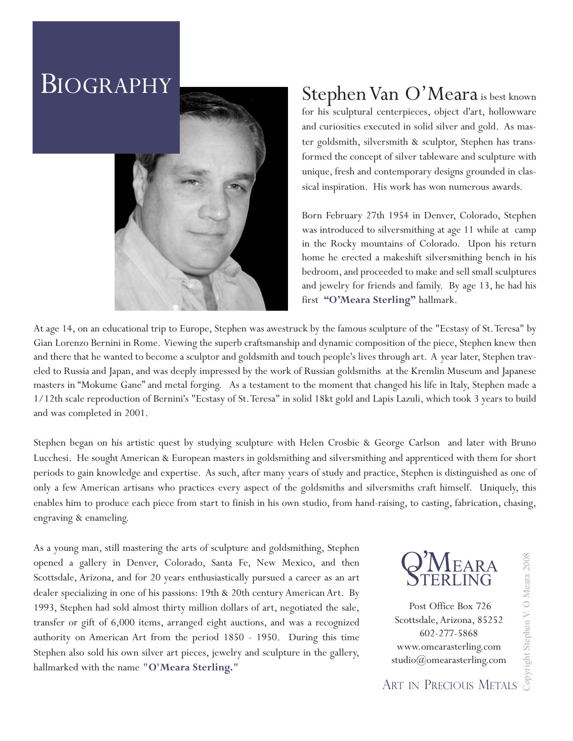## BIOGRAPHY



## Stephen Van O'Meara is best known

for his sculptural centerpieces, object d'art, hollowware and curiosities executed in solid silver and gold. As master goldsmith, silversmith & sculptor, Stephen has transformed the concept of silver tableware and sculpture with unique, fresh and contemporary designs grounded in classical inspiration. His work has won numerous awards.

Born February 27th 1954 in Denver, Colorado, Stephen was introduced to silversmithing at age 11 while at camp in the Rocky mountains of Colorado. Upon his return home he erected a makeshift silversmithing bench in his bedroom, and proceeded to make and sell small sculptures and jewelry for friends and family. By age 13, he had his first **"O'Meara Sterling"** hallmark.

At age 14, on an educational trip to Europe, Stephen was awestruck by the famous sculpture of the "Ecstasy of St.Teresa" by Gian Lorenzo Bernini in Rome. Viewing the superb craftsmanship and dynamic composition of the piece, Stephen knew then and there that he wanted to become a sculptor and goldsmith and touch people's lives through art. A year later, Stephen traveled to Russia and Japan, and was deeply impressed by the work of Russian goldsmiths at the Kremlin Museum and Japanese masters in "Mokume Gane" and metal forging. As a testament to the moment that changed his life in Italy, Stephen made a 1/12th scale reproduction of Bernini's "Ecstasy of St.Teresa" in solid 18kt gold and Lapis Lazuli, which took 3 years to build and was completed in 2001.

Stephen began on his artistic quest by studying sculpture with Helen Crosbie & George Carlson and later with Bruno Lucchesi. He sought American & European masters in goldsmithing and silversmithing and apprenticed with them for short periods to gain knowledge and expertise. As such, after many years of study and practice, Stephen is distinguished as one of only a few American artisans who practices every aspect of the goldsmiths and silversmiths craft himself. Uniquely, this enables him to produce each piece from start to finish in his own studio, from hand-raising, to casting, fabrication, chasing, engraving & enameling.

As a young man, still mastering the arts of sculpture and goldsmithing, Stephen opened a gallery in Denver, Colorado, Santa Fe, New Mexico, and then Scottsdale, Arizona, and for 20 years enthusiastically pursued a career as an art dealer specializing in one of his passions: 19th & 20th century American Art. By 1993, Stephen had sold almost thirty million dollars of art, negotiated the sale, transfer or gift of 6,000 items, arranged eight auctions, and was a recognized authority on American Art from the period 1850 - 1950. During this time Stephen also sold his own silver art pieces, jewelry and sculpture in the gallery, hallmarked with the name **"O'Meara Sterling."** 



Post Office Box 726 Scottsdale, Arizona, 85252 602-277-5868 www.omearasterling.com studio@omearasterling.com